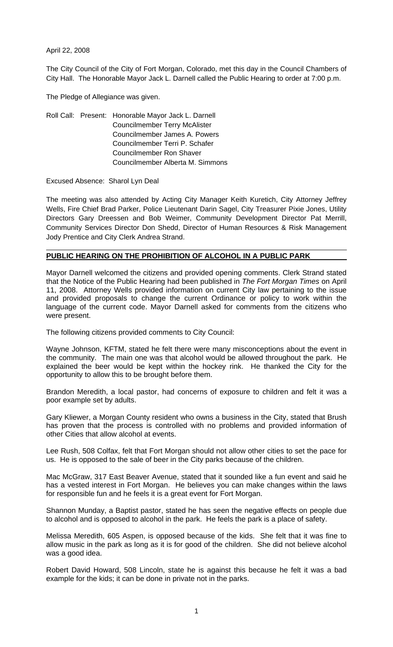April 22, 2008

The City Council of the City of Fort Morgan, Colorado, met this day in the Council Chambers of City Hall. The Honorable Mayor Jack L. Darnell called the Public Hearing to order at 7:00 p.m.

The Pledge of Allegiance was given.

Roll Call: Present: Honorable Mayor Jack L. Darnell Councilmember Terry McAlister Councilmember James A. Powers Councilmember Terri P. Schafer Councilmember Ron Shaver Councilmember Alberta M. Simmons

Excused Absence: Sharol Lyn Deal

The meeting was also attended by Acting City Manager Keith Kuretich, City Attorney Jeffrey Wells, Fire Chief Brad Parker, Police Lieutenant Darin Sagel, City Treasurer Pixie Jones, Utility Directors Gary Dreessen and Bob Weimer, Community Development Director Pat Merrill, Community Services Director Don Shedd, Director of Human Resources & Risk Management Jody Prentice and City Clerk Andrea Strand.

## **PUBLIC HEARING ON THE PROHIBITION OF ALCOHOL IN A PUBLIC PARK**

Mayor Darnell welcomed the citizens and provided opening comments. Clerk Strand stated that the Notice of the Public Hearing had been published in *The Fort Morgan Times* on April 11, 2008. Attorney Wells provided information on current City law pertaining to the issue and provided proposals to change the current Ordinance or policy to work within the language of the current code. Mayor Darnell asked for comments from the citizens who were present.

The following citizens provided comments to City Council:

Wayne Johnson, KFTM, stated he felt there were many misconceptions about the event in the community. The main one was that alcohol would be allowed throughout the park. He explained the beer would be kept within the hockey rink. He thanked the City for the opportunity to allow this to be brought before them.

Brandon Meredith, a local pastor, had concerns of exposure to children and felt it was a poor example set by adults.

Gary Kliewer, a Morgan County resident who owns a business in the City, stated that Brush has proven that the process is controlled with no problems and provided information of other Cities that allow alcohol at events.

Lee Rush, 508 Colfax, felt that Fort Morgan should not allow other cities to set the pace for us. He is opposed to the sale of beer in the City parks because of the children.

Mac McGraw, 317 East Beaver Avenue, stated that it sounded like a fun event and said he has a vested interest in Fort Morgan. He believes you can make changes within the laws for responsible fun and he feels it is a great event for Fort Morgan.

Shannon Munday, a Baptist pastor, stated he has seen the negative effects on people due to alcohol and is opposed to alcohol in the park. He feels the park is a place of safety.

Melissa Meredith, 605 Aspen, is opposed because of the kids. She felt that it was fine to allow music in the park as long as it is for good of the children. She did not believe alcohol was a good idea.

Robert David Howard, 508 Lincoln, state he is against this because he felt it was a bad example for the kids; it can be done in private not in the parks.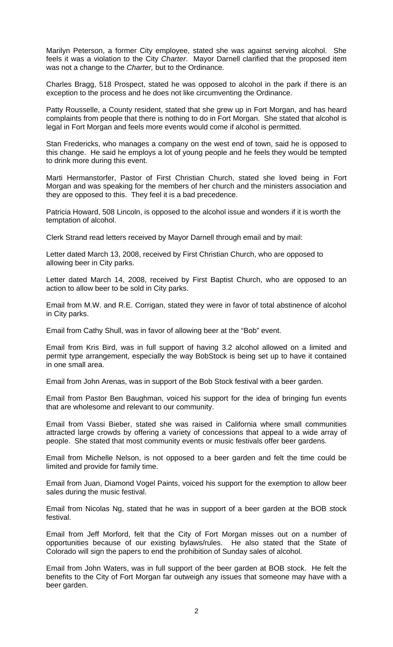Marilyn Peterson, a former City employee, stated she was against serving alcohol. She feels it was a violation to the City *Charter*. Mayor Darnell clarified that the proposed item was not a change to the *Charter,* but to the Ordinance.

Charles Bragg, 518 Prospect, stated he was opposed to alcohol in the park if there is an exception to the process and he does not like circumventing the Ordinance.

Patty Rousselle, a County resident, stated that she grew up in Fort Morgan, and has heard complaints from people that there is nothing to do in Fort Morgan. She stated that alcohol is legal in Fort Morgan and feels more events would come if alcohol is permitted.

Stan Fredericks, who manages a company on the west end of town, said he is opposed to this change. He said he employs a lot of young people and he feels they would be tempted to drink more during this event.

Marti Hermanstorfer, Pastor of First Christian Church, stated she loved being in Fort Morgan and was speaking for the members of her church and the ministers association and they are opposed to this. They feel it is a bad precedence.

Patricia Howard, 508 Lincoln, is opposed to the alcohol issue and wonders if it is worth the temptation of alcohol.

Clerk Strand read letters received by Mayor Darnell through email and by mail:

Letter dated March 13, 2008, received by First Christian Church, who are opposed to allowing beer in City parks.

Letter dated March 14, 2008, received by First Baptist Church, who are opposed to an action to allow beer to be sold in City parks.

Email from M.W. and R.E. Corrigan, stated they were in favor of total abstinence of alcohol in City parks.

Email from Cathy Shull, was in favor of allowing beer at the "Bob" event.

Email from Kris Bird, was in full support of having 3.2 alcohol allowed on a limited and permit type arrangement, especially the way BobStock is being set up to have it contained in one small area.

Email from John Arenas, was in support of the Bob Stock festival with a beer garden.

Email from Pastor Ben Baughman, voiced his support for the idea of bringing fun events that are wholesome and relevant to our community.

Email from Vassi Bieber, stated she was raised in California where small communities attracted large crowds by offering a variety of concessions that appeal to a wide array of people. She stated that most community events or music festivals offer beer gardens.

Email from Michelle Nelson, is not opposed to a beer garden and felt the time could be limited and provide for family time.

Email from Juan, Diamond Vogel Paints, voiced his support for the exemption to allow beer sales during the music festival.

Email from Nicolas Ng, stated that he was in support of a beer garden at the BOB stock festival.

Email from Jeff Morford, felt that the City of Fort Morgan misses out on a number of opportunities because of our existing bylaws/rules. He also stated that the State of Colorado will sign the papers to end the prohibition of Sunday sales of alcohol.

Email from John Waters, was in full support of the beer garden at BOB stock. He felt the benefits to the City of Fort Morgan far outweigh any issues that someone may have with a beer garden.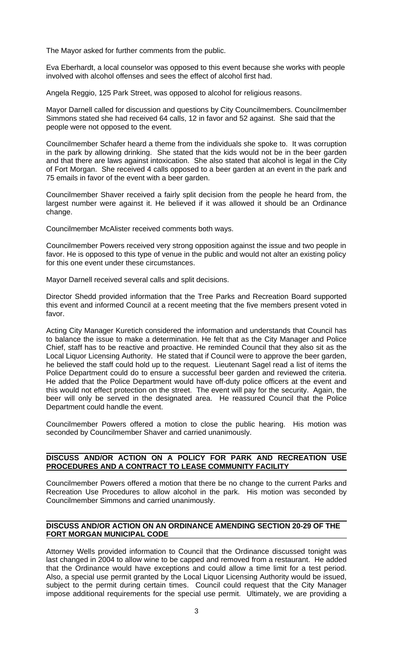The Mayor asked for further comments from the public.

Eva Eberhardt, a local counselor was opposed to this event because she works with people involved with alcohol offenses and sees the effect of alcohol first had.

Angela Reggio, 125 Park Street, was opposed to alcohol for religious reasons.

Mayor Darnell called for discussion and questions by City Councilmembers. Councilmember Simmons stated she had received 64 calls, 12 in favor and 52 against. She said that the people were not opposed to the event.

Councilmember Schafer heard a theme from the individuals she spoke to. It was corruption in the park by allowing drinking. She stated that the kids would not be in the beer garden and that there are laws against intoxication. She also stated that alcohol is legal in the City of Fort Morgan. She received 4 calls opposed to a beer garden at an event in the park and 75 emails in favor of the event with a beer garden.

Councilmember Shaver received a fairly split decision from the people he heard from, the largest number were against it. He believed if it was allowed it should be an Ordinance change.

Councilmember McAlister received comments both ways.

Councilmember Powers received very strong opposition against the issue and two people in favor. He is opposed to this type of venue in the public and would not alter an existing policy for this one event under these circumstances.

Mayor Darnell received several calls and split decisions.

Director Shedd provided information that the Tree Parks and Recreation Board supported this event and informed Council at a recent meeting that the five members present voted in favor.

Acting City Manager Kuretich considered the information and understands that Council has to balance the issue to make a determination. He felt that as the City Manager and Police Chief, staff has to be reactive and proactive. He reminded Council that they also sit as the Local Liquor Licensing Authority. He stated that if Council were to approve the beer garden, he believed the staff could hold up to the request. Lieutenant Sagel read a list of items the Police Department could do to ensure a successful beer garden and reviewed the criteria. He added that the Police Department would have off-duty police officers at the event and this would not effect protection on the street. The event will pay for the security. Again, the beer will only be served in the designated area. He reassured Council that the Police Department could handle the event.

Councilmember Powers offered a motion to close the public hearing. His motion was seconded by Councilmember Shaver and carried unanimously.

## **DISCUSS AND/OR ACTION ON A POLICY FOR PARK AND RECREATION USE PROCEDURES AND A CONTRACT TO LEASE COMMUNITY FACILITY**

Councilmember Powers offered a motion that there be no change to the current Parks and Recreation Use Procedures to allow alcohol in the park. His motion was seconded by Councilmember Simmons and carried unanimously.

## **DISCUSS AND/OR ACTION ON AN ORDINANCE AMENDING SECTION 20-29 OF THE FORT MORGAN MUNICIPAL CODE**

Attorney Wells provided information to Council that the Ordinance discussed tonight was last changed in 2004 to allow wine to be capped and removed from a restaurant. He added that the Ordinance would have exceptions and could allow a time limit for a test period. Also, a special use permit granted by the Local Liquor Licensing Authority would be issued, subject to the permit during certain times. Council could request that the City Manager impose additional requirements for the special use permit. Ultimately, we are providing a